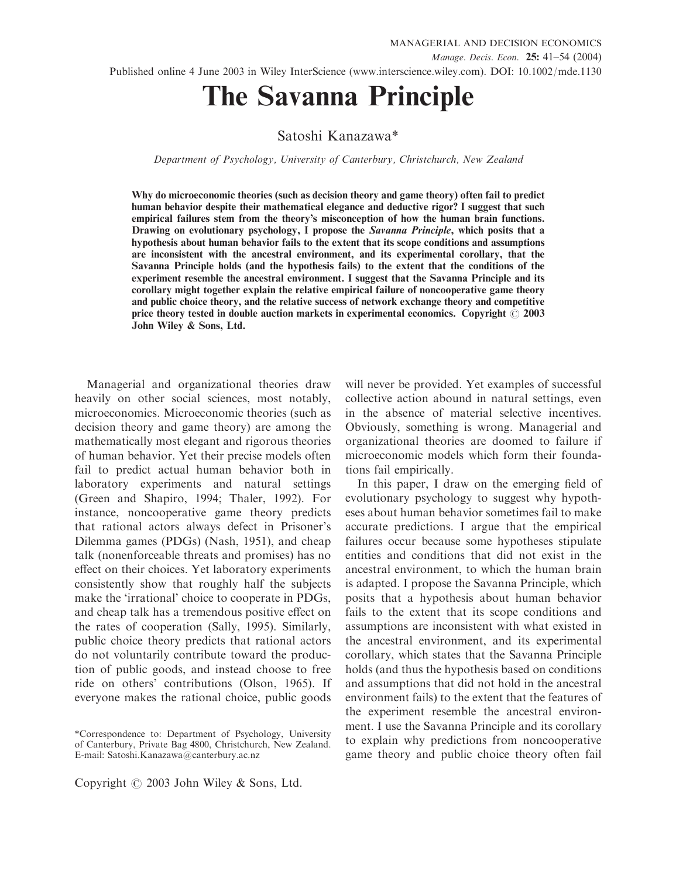# The Savanna Principle

# Satoshi Kanazawa\*

Department of Psychology, University of Canterbury, Christchurch, New Zealand

Why do microeconomic theories (such as decision theory and game theory) often fail to predict human behavior despite their mathematical elegance and deductive rigor? I suggest that such empirical failures stem from the theory's misconception of how the human brain functions. Drawing on evolutionary psychology, I propose the Savanna Principle, which posits that a hypothesis about human behavior fails to the extent that its scope conditions and assumptions are inconsistent with the ancestral environment, and its experimental corollary, that the Savanna Principle holds (and the hypothesis fails) to the extent that the conditions of the experiment resemble the ancestral environment. I suggest that the Savanna Principle and its corollary might together explain the relative empirical failure of noncooperative game theory and public choice theory, and the relative success of network exchange theory and competitive price theory tested in double auction markets in experimental economics. Copyright  $\oslash$  2003 John Wiley & Sons, Ltd.

Managerial and organizational theories draw heavily on other social sciences, most notably, microeconomics. Microeconomic theories (such as decision theory and game theory) are among the mathematically most elegant and rigorous theories of human behavior. Yet their precise models often fail to predict actual human behavior both in laboratory experiments and natural settings (Green and Shapiro, 1994; Thaler, 1992). For instance, noncooperative game theory predicts that rational actors always defect in Prisoner's Dilemma games (PDGs) (Nash, 1951), and cheap talk (nonenforceable threats and promises) has no effect on their choices. Yet laboratory experiments consistently show that roughly half the subjects make the 'irrational' choice to cooperate in PDGs, and cheap talk has a tremendous positive effect on the rates of cooperation (Sally, 1995). Similarly, public choice theory predicts that rational actors do not voluntarily contribute toward the production of public goods, and instead choose to free ride on others' contributions (Olson, 1965). If everyone makes the rational choice, public goods

Copyright  $\odot$  2003 John Wiley & Sons, Ltd.

will never be provided. Yet examples of successful collective action abound in natural settings, even in the absence of material selective incentives. Obviously, something is wrong. Managerial and organizational theories are doomed to failure if microeconomic models which form their foundations fail empirically.

In this paper, I draw on the emerging field of evolutionary psychology to suggest why hypotheses about human behavior sometimes fail to make accurate predictions. I argue that the empirical failures occur because some hypotheses stipulate entities and conditions that did not exist in the ancestral environment, to which the human brain is adapted. I propose the Savanna Principle, which posits that a hypothesis about human behavior fails to the extent that its scope conditions and assumptions are inconsistent with what existed in the ancestral environment, and its experimental corollary, which states that the Savanna Principle holds (and thus the hypothesis based on conditions and assumptions that did not hold in the ancestral environment fails) to the extent that the features of the experiment resemble the ancestral environment. I use the Savanna Principle and its corollary to explain why predictions from noncooperative game theory and public choice theory often fail

<sup>\*</sup>Correspondence to: Department of Psychology, University of Canterbury, Private Bag 4800, Christchurch, New Zealand. E-mail: Satoshi.Kanazawa@canterbury.ac.nz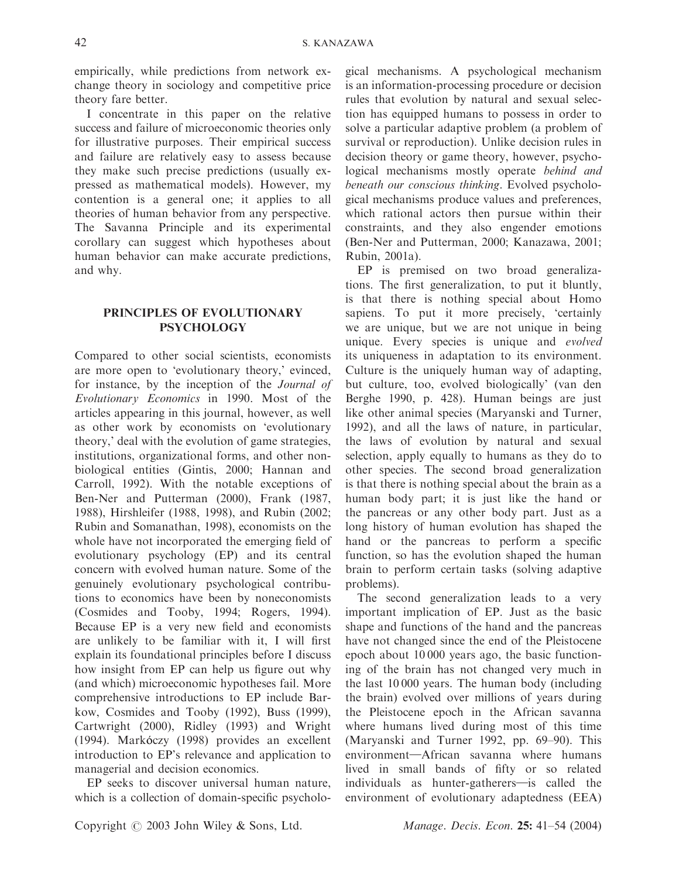empirically, while predictions from network exchange theory in sociology and competitive price theory fare better.

I concentrate in this paper on the relative success and failure of microeconomic theories only for illustrative purposes. Their empirical success and failure are relatively easy to assess because they make such precise predictions (usually expressed as mathematical models). However, my contention is a general one; it applies to all theories of human behavior from any perspective. The Savanna Principle and its experimental corollary can suggest which hypotheses about human behavior can make accurate predictions, and why.

# PRINCIPLES OF EVOLUTIONARY **PSYCHOLOGY**

Compared to other social scientists, economists are more open to 'evolutionary theory,' evinced, for instance, by the inception of the Journal of Evolutionary Economics in 1990. Most of the articles appearing in this journal, however, as well as other work by economists on 'evolutionary theory,' deal with the evolution of game strategies, institutions, organizational forms, and other nonbiological entities (Gintis, 2000; Hannan and Carroll, 1992). With the notable exceptions of Ben-Ner and Putterman (2000), Frank (1987, 1988), Hirshleifer (1988, 1998), and Rubin (2002; Rubin and Somanathan, 1998), economists on the whole have not incorporated the emerging field of evolutionary psychology (EP) and its central concern with evolved human nature. Some of the genuinely evolutionary psychological contributions to economics have been by noneconomists (Cosmides and Tooby, 1994; Rogers, 1994). Because EP is a very new field and economists are unlikely to be familiar with it, I will first explain its foundational principles before I discuss how insight from EP can help us figure out why (and which) microeconomic hypotheses fail. More comprehensive introductions to EP include Barkow, Cosmides and Tooby (1992), Buss (1999), Cartwright (2000), Ridley (1993) and Wright  $(1994)$ . Markóczy  $(1998)$  provides an excellent introduction to EP's relevance and application to managerial and decision economics.

EP seeks to discover universal human nature, which is a collection of domain-specific psycholo-

gical mechanisms. A psychological mechanism is an information-processing procedure or decision rules that evolution by natural and sexual selection has equipped humans to possess in order to solve a particular adaptive problem (a problem of survival or reproduction). Unlike decision rules in decision theory or game theory, however, psychological mechanisms mostly operate behind and beneath our conscious thinking. Evolved psychological mechanisms produce values and preferences, which rational actors then pursue within their constraints, and they also engender emotions (Ben-Ner and Putterman, 2000; Kanazawa, 2001; Rubin, 2001a).

EP is premised on two broad generalizations. The first generalization, to put it bluntly, is that there is nothing special about Homo sapiens. To put it more precisely, 'certainly we are unique, but we are not unique in being unique. Every species is unique and *evolved* its uniqueness in adaptation to its environment. Culture is the uniquely human way of adapting, but culture, too, evolved biologically' (van den Berghe 1990, p. 428). Human beings are just like other animal species (Maryanski and Turner, 1992), and all the laws of nature, in particular, the laws of evolution by natural and sexual selection, apply equally to humans as they do to other species. The second broad generalization is that there is nothing special about the brain as a human body part; it is just like the hand or the pancreas or any other body part. Just as a long history of human evolution has shaped the hand or the pancreas to perform a specific function, so has the evolution shaped the human brain to perform certain tasks (solving adaptive problems).

The second generalization leads to a very important implication of EP. Just as the basic shape and functions of the hand and the pancreas have not changed since the end of the Pleistocene epoch about 10 000 years ago, the basic functioning of the brain has not changed very much in the last 10 000 years. The human body (including the brain) evolved over millions of years during the Pleistocene epoch in the African savanna where humans lived during most of this time (Maryanski and Turner 1992, pp. 69–90). This environment-African savanna where humans lived in small bands of fifty or so related individuals as hunter-gatherers-is called the environment of evolutionary adaptedness (EEA)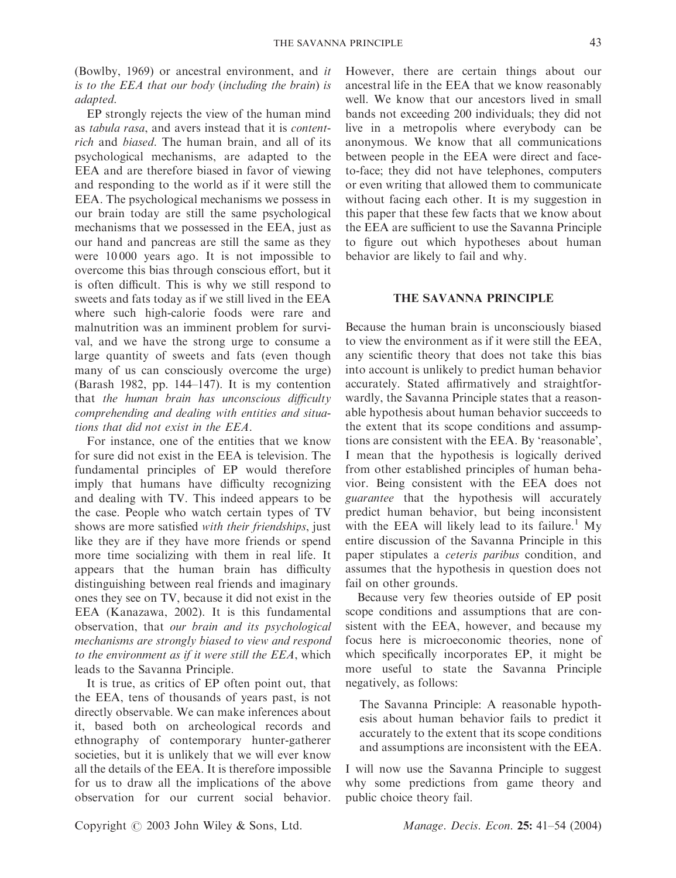(Bowlby, 1969) or ancestral environment, and it is to the EEA that our body (including the brain) is adapted.

EP strongly rejects the view of the human mind as tabula rasa, and avers instead that it is contentrich and biased. The human brain, and all of its psychological mechanisms, are adapted to the EEA and are therefore biased in favor of viewing and responding to the world as if it were still the EEA. The psychological mechanisms we possess in our brain today are still the same psychological mechanisms that we possessed in the EEA, just as our hand and pancreas are still the same as they were 10 000 years ago. It is not impossible to overcome this bias through conscious effort, but it is often difficult. This is why we still respond to sweets and fats today as if we still lived in the EEA where such high-calorie foods were rare and malnutrition was an imminent problem for survival, and we have the strong urge to consume a large quantity of sweets and fats (even though many of us can consciously overcome the urge) (Barash 1982, pp. 144–147). It is my contention that the human brain has unconscious difficulty comprehending and dealing with entities and situations that did not exist in the EEA.

For instance, one of the entities that we know for sure did not exist in the EEA is television. The fundamental principles of EP would therefore imply that humans have difficulty recognizing and dealing with TV. This indeed appears to be the case. People who watch certain types of TV shows are more satisfied with their friendships, just like they are if they have more friends or spend more time socializing with them in real life. It appears that the human brain has difficulty distinguishing between real friends and imaginary ones they see on TV, because it did not exist in the EEA (Kanazawa, 2002). It is this fundamental observation, that our brain and its psychological mechanisms are strongly biased to view and respond to the environment as if it were still the EEA, which leads to the Savanna Principle.

It is true, as critics of EP often point out, that the EEA, tens of thousands of years past, is not directly observable. We can make inferences about it, based both on archeological records and ethnography of contemporary hunter-gatherer societies, but it is unlikely that we will ever know all the details of the EEA. It is therefore impossible for us to draw all the implications of the above observation for our current social behavior.

However, there are certain things about our ancestral life in the EEA that we know reasonably well. We know that our ancestors lived in small bands not exceeding 200 individuals; they did not live in a metropolis where everybody can be anonymous. We know that all communications between people in the EEA were direct and faceto-face; they did not have telephones, computers or even writing that allowed them to communicate without facing each other. It is my suggestion in this paper that these few facts that we know about the EEA are sufficient to use the Savanna Principle to figure out which hypotheses about human behavior are likely to fail and why.

## THE SAVANNA PRINCIPLE

Because the human brain is unconsciously biased to view the environment as if it were still the EEA, any scientific theory that does not take this bias into account is unlikely to predict human behavior accurately. Stated affirmatively and straightforwardly, the Savanna Principle states that a reasonable hypothesis about human behavior succeeds to the extent that its scope conditions and assumptions are consistent with the EEA. By 'reasonable', I mean that the hypothesis is logically derived from other established principles of human behavior. Being consistent with the EEA does not guarantee that the hypothesis will accurately predict human behavior, but being inconsistent with the EEA will likely lead to its failure.<sup>1</sup> My entire discussion of the Savanna Principle in this paper stipulates a ceteris paribus condition, and assumes that the hypothesis in question does not fail on other grounds.

Because very few theories outside of EP posit scope conditions and assumptions that are consistent with the EEA, however, and because my focus here is microeconomic theories, none of which specifically incorporates EP, it might be more useful to state the Savanna Principle negatively, as follows:

The Savanna Principle: A reasonable hypothesis about human behavior fails to predict it accurately to the extent that its scope conditions and assumptions are inconsistent with the EEA.

I will now use the Savanna Principle to suggest why some predictions from game theory and public choice theory fail.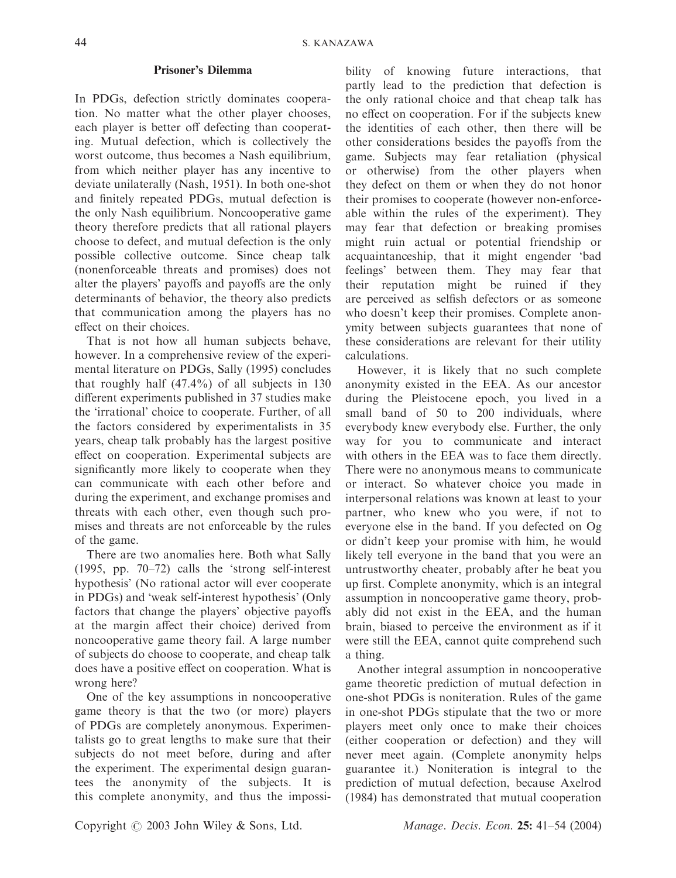## Prisoner's Dilemma

In PDGs, defection strictly dominates cooperation. No matter what the other player chooses, each player is better off defecting than cooperating. Mutual defection, which is collectively the worst outcome, thus becomes a Nash equilibrium, from which neither player has any incentive to deviate unilaterally (Nash, 1951). In both one-shot and finitely repeated PDGs, mutual defection is the only Nash equilibrium. Noncooperative game theory therefore predicts that all rational players choose to defect, and mutual defection is the only possible collective outcome. Since cheap talk (nonenforceable threats and promises) does not alter the players' payoffs and payoffs are the only determinants of behavior, the theory also predicts that communication among the players has no effect on their choices.

That is not how all human subjects behave, however. In a comprehensive review of the experimental literature on PDGs, Sally (1995) concludes that roughly half  $(47.4\%)$  of all subjects in 130 different experiments published in 37 studies make the 'irrational' choice to cooperate. Further, of all the factors considered by experimentalists in 35 years, cheap talk probably has the largest positive effect on cooperation. Experimental subjects are significantly more likely to cooperate when they can communicate with each other before and during the experiment, and exchange promises and threats with each other, even though such promises and threats are not enforceable by the rules of the game.

There are two anomalies here. Both what Sally (1995, pp. 70–72) calls the 'strong self-interest hypothesis' (No rational actor will ever cooperate in PDGs) and 'weak self-interest hypothesis' (Only factors that change the players' objective payoffs at the margin affect their choice) derived from noncooperative game theory fail. A large number of subjects do choose to cooperate, and cheap talk does have a positive effect on cooperation. What is wrong here?

One of the key assumptions in noncooperative game theory is that the two (or more) players of PDGs are completely anonymous. Experimentalists go to great lengths to make sure that their subjects do not meet before, during and after the experiment. The experimental design guarantees the anonymity of the subjects. It is this complete anonymity, and thus the impossibility of knowing future interactions, that partly lead to the prediction that defection is the only rational choice and that cheap talk has no effect on cooperation. For if the subjects knew the identities of each other, then there will be other considerations besides the payoffs from the game. Subjects may fear retaliation (physical or otherwise) from the other players when they defect on them or when they do not honor their promises to cooperate (however non-enforceable within the rules of the experiment). They may fear that defection or breaking promises might ruin actual or potential friendship or acquaintanceship, that it might engender 'bad feelings' between them. They may fear that their reputation might be ruined if they are perceived as selfish defectors or as someone who doesn't keep their promises. Complete anonymity between subjects guarantees that none of these considerations are relevant for their utility calculations.

However, it is likely that no such complete anonymity existed in the EEA. As our ancestor during the Pleistocene epoch, you lived in a small band of 50 to 200 individuals, where everybody knew everybody else. Further, the only way for you to communicate and interact with others in the EEA was to face them directly. There were no anonymous means to communicate or interact. So whatever choice you made in interpersonal relations was known at least to your partner, who knew who you were, if not to everyone else in the band. If you defected on Og or didn't keep your promise with him, he would likely tell everyone in the band that you were an untrustworthy cheater, probably after he beat you up first. Complete anonymity, which is an integral assumption in noncooperative game theory, probably did not exist in the EEA, and the human brain, biased to perceive the environment as if it were still the EEA, cannot quite comprehend such a thing.

Another integral assumption in noncooperative game theoretic prediction of mutual defection in one-shot PDGs is noniteration. Rules of the game in one-shot PDGs stipulate that the two or more players meet only once to make their choices (either cooperation or defection) and they will never meet again. (Complete anonymity helps guarantee it.) Noniteration is integral to the prediction of mutual defection, because Axelrod (1984) has demonstrated that mutual cooperation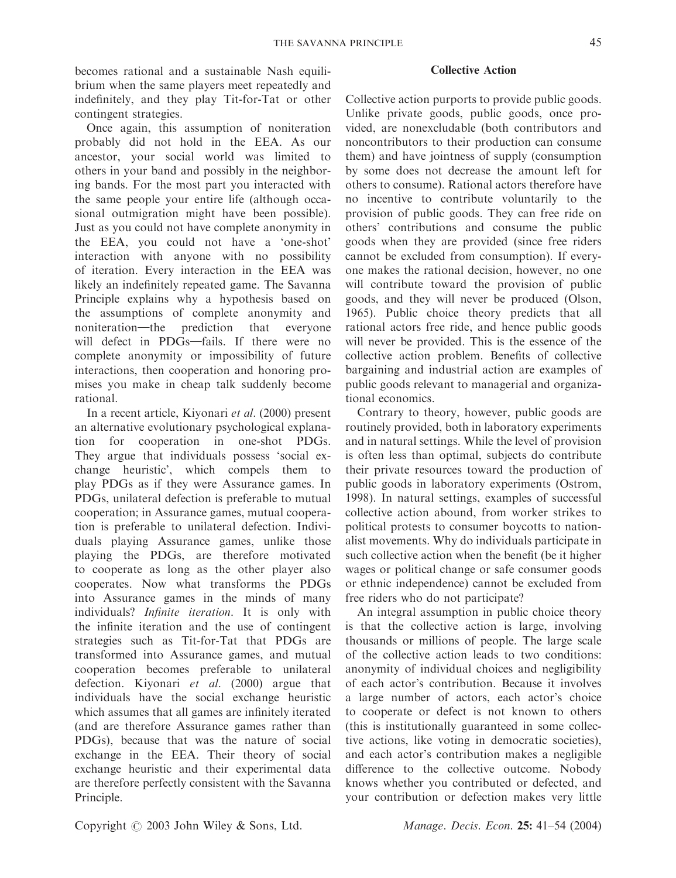becomes rational and a sustainable Nash equilibrium when the same players meet repeatedly and indefinitely, and they play Tit-for-Tat or other contingent strategies.

Once again, this assumption of noniteration probably did not hold in the EEA. As our ancestor, your social world was limited to others in your band and possibly in the neighboring bands. For the most part you interacted with the same people your entire life (although occasional outmigration might have been possible). Just as you could not have complete anonymity in the EEA, you could not have a 'one-shot' interaction with anyone with no possibility of iteration. Every interaction in the EEA was likely an indefinitely repeated game. The Savanna Principle explains why a hypothesis based on the assumptions of complete anonymity and noniteration—the prediction that everyone will defect in PDGs-fails. If there were no complete anonymity or impossibility of future interactions, then cooperation and honoring promises you make in cheap talk suddenly become rational.

In a recent article, Kiyonari et al. (2000) present an alternative evolutionary psychological explanation for cooperation in one-shot PDGs. They argue that individuals possess 'social exchange heuristic', which compels them to play PDGs as if they were Assurance games. In PDGs, unilateral defection is preferable to mutual cooperation; in Assurance games, mutual cooperation is preferable to unilateral defection. Individuals playing Assurance games, unlike those playing the PDGs, are therefore motivated to cooperate as long as the other player also cooperates. Now what transforms the PDGs into Assurance games in the minds of many individuals? Infinite iteration. It is only with the infinite iteration and the use of contingent strategies such as Tit-for-Tat that PDGs are transformed into Assurance games, and mutual cooperation becomes preferable to unilateral defection. Kiyonari et al. (2000) argue that individuals have the social exchange heuristic which assumes that all games are infinitely iterated (and are therefore Assurance games rather than PDGs), because that was the nature of social exchange in the EEA. Their theory of social exchange heuristic and their experimental data are therefore perfectly consistent with the Savanna Principle.

## Collective Action

Collective action purports to provide public goods. Unlike private goods, public goods, once provided, are nonexcludable (both contributors and noncontributors to their production can consume them) and have jointness of supply (consumption by some does not decrease the amount left for others to consume). Rational actors therefore have no incentive to contribute voluntarily to the provision of public goods. They can free ride on others' contributions and consume the public goods when they are provided (since free riders cannot be excluded from consumption). If everyone makes the rational decision, however, no one will contribute toward the provision of public goods, and they will never be produced (Olson, 1965). Public choice theory predicts that all rational actors free ride, and hence public goods will never be provided. This is the essence of the collective action problem. Benefits of collective bargaining and industrial action are examples of public goods relevant to managerial and organizational economics.

Contrary to theory, however, public goods are routinely provided, both in laboratory experiments and in natural settings. While the level of provision is often less than optimal, subjects do contribute their private resources toward the production of public goods in laboratory experiments (Ostrom, 1998). In natural settings, examples of successful collective action abound, from worker strikes to political protests to consumer boycotts to nationalist movements. Why do individuals participate in such collective action when the benefit (be it higher wages or political change or safe consumer goods or ethnic independence) cannot be excluded from free riders who do not participate?

An integral assumption in public choice theory is that the collective action is large, involving thousands or millions of people. The large scale of the collective action leads to two conditions: anonymity of individual choices and negligibility of each actor's contribution. Because it involves a large number of actors, each actor's choice to cooperate or defect is not known to others (this is institutionally guaranteed in some collective actions, like voting in democratic societies), and each actor's contribution makes a negligible difference to the collective outcome. Nobody knows whether you contributed or defected, and your contribution or defection makes very little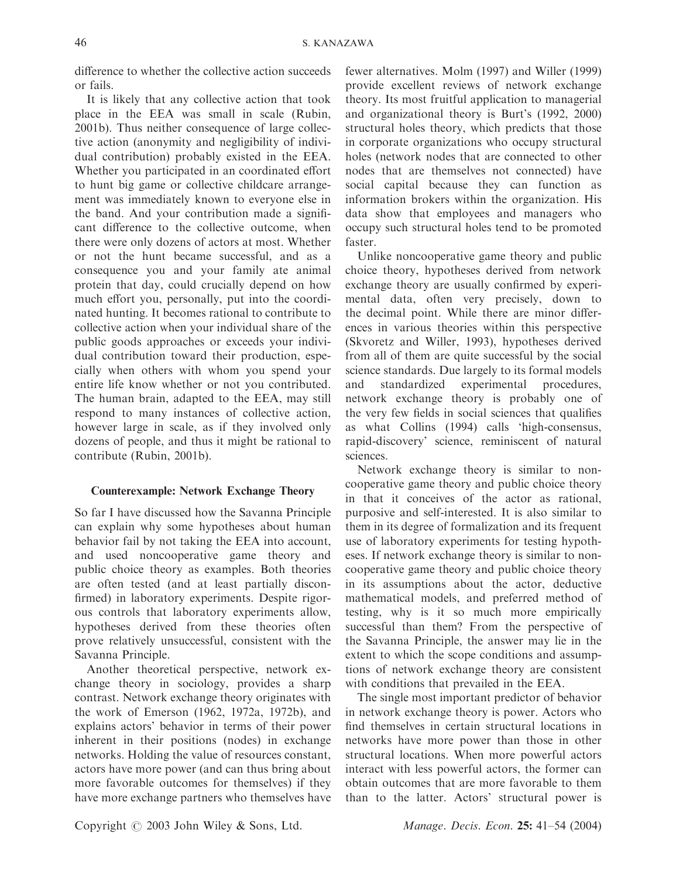difference to whether the collective action succeeds or fails.

It is likely that any collective action that took place in the EEA was small in scale (Rubin, 2001b). Thus neither consequence of large collective action (anonymity and negligibility of individual contribution) probably existed in the EEA. Whether you participated in an coordinated effort to hunt big game or collective childcare arrangement was immediately known to everyone else in the band. And your contribution made a significant difference to the collective outcome, when there were only dozens of actors at most. Whether or not the hunt became successful, and as a consequence you and your family ate animal protein that day, could crucially depend on how much effort you, personally, put into the coordinated hunting. It becomes rational to contribute to collective action when your individual share of the public goods approaches or exceeds your individual contribution toward their production, especially when others with whom you spend your entire life know whether or not you contributed. The human brain, adapted to the EEA, may still respond to many instances of collective action, however large in scale, as if they involved only dozens of people, and thus it might be rational to contribute (Rubin, 2001b).

# Counterexample: Network Exchange Theory

So far I have discussed how the Savanna Principle can explain why some hypotheses about human behavior fail by not taking the EEA into account, and used noncooperative game theory and public choice theory as examples. Both theories are often tested (and at least partially disconfirmed) in laboratory experiments. Despite rigorous controls that laboratory experiments allow, hypotheses derived from these theories often prove relatively unsuccessful, consistent with the Savanna Principle.

Another theoretical perspective, network exchange theory in sociology, provides a sharp contrast. Network exchange theory originates with the work of Emerson (1962, 1972a, 1972b), and explains actors' behavior in terms of their power inherent in their positions (nodes) in exchange networks. Holding the value of resources constant, actors have more power (and can thus bring about more favorable outcomes for themselves) if they have more exchange partners who themselves have

fewer alternatives. Molm (1997) and Willer (1999) provide excellent reviews of network exchange theory. Its most fruitful application to managerial and organizational theory is Burt's (1992, 2000) structural holes theory, which predicts that those in corporate organizations who occupy structural holes (network nodes that are connected to other nodes that are themselves not connected) have social capital because they can function as information brokers within the organization. His data show that employees and managers who occupy such structural holes tend to be promoted faster.

Unlike noncooperative game theory and public choice theory, hypotheses derived from network exchange theory are usually confirmed by experimental data, often very precisely, down to the decimal point. While there are minor differences in various theories within this perspective (Skvoretz and Willer, 1993), hypotheses derived from all of them are quite successful by the social science standards. Due largely to its formal models and standardized experimental procedures, network exchange theory is probably one of the very few fields in social sciences that qualifies as what Collins (1994) calls 'high-consensus, rapid-discovery' science, reminiscent of natural sciences.

Network exchange theory is similar to noncooperative game theory and public choice theory in that it conceives of the actor as rational, purposive and self-interested. It is also similar to them in its degree of formalization and its frequent use of laboratory experiments for testing hypotheses. If network exchange theory is similar to noncooperative game theory and public choice theory in its assumptions about the actor, deductive mathematical models, and preferred method of testing, why is it so much more empirically successful than them? From the perspective of the Savanna Principle, the answer may lie in the extent to which the scope conditions and assumptions of network exchange theory are consistent with conditions that prevailed in the EEA.

The single most important predictor of behavior in network exchange theory is power. Actors who find themselves in certain structural locations in networks have more power than those in other structural locations. When more powerful actors interact with less powerful actors, the former can obtain outcomes that are more favorable to them than to the latter. Actors' structural power is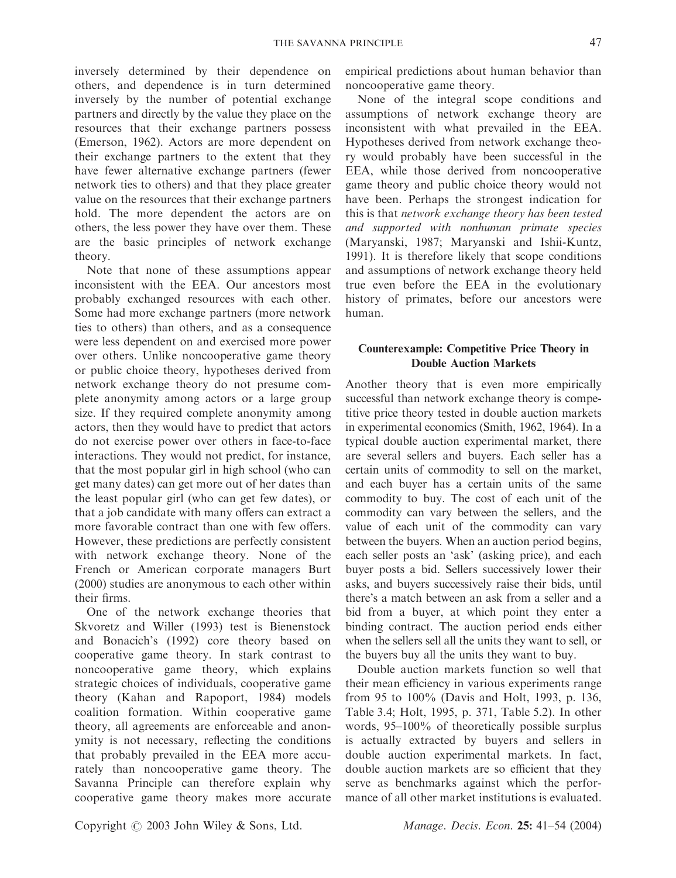inversely determined by their dependence on others, and dependence is in turn determined inversely by the number of potential exchange partners and directly by the value they place on the resources that their exchange partners possess (Emerson, 1962). Actors are more dependent on their exchange partners to the extent that they have fewer alternative exchange partners (fewer network ties to others) and that they place greater value on the resources that their exchange partners hold. The more dependent the actors are on others, the less power they have over them. These are the basic principles of network exchange theory.

Note that none of these assumptions appear inconsistent with the EEA. Our ancestors most probably exchanged resources with each other. Some had more exchange partners (more network ties to others) than others, and as a consequence were less dependent on and exercised more power over others. Unlike noncooperative game theory or public choice theory, hypotheses derived from network exchange theory do not presume complete anonymity among actors or a large group size. If they required complete anonymity among actors, then they would have to predict that actors do not exercise power over others in face-to-face interactions. They would not predict, for instance, that the most popular girl in high school (who can get many dates) can get more out of her dates than the least popular girl (who can get few dates), or that a job candidate with many offers can extract a more favorable contract than one with few offers. However, these predictions are perfectly consistent with network exchange theory. None of the French or American corporate managers Burt (2000) studies are anonymous to each other within their firms.

One of the network exchange theories that Skvoretz and Willer (1993) test is Bienenstock and Bonacich's (1992) core theory based on cooperative game theory. In stark contrast to noncooperative game theory, which explains strategic choices of individuals, cooperative game theory (Kahan and Rapoport, 1984) models coalition formation. Within cooperative game theory, all agreements are enforceable and anonymity is not necessary, reflecting the conditions that probably prevailed in the EEA more accurately than noncooperative game theory. The Savanna Principle can therefore explain why cooperative game theory makes more accurate

empirical predictions about human behavior than noncooperative game theory.

None of the integral scope conditions and assumptions of network exchange theory are inconsistent with what prevailed in the EEA. Hypotheses derived from network exchange theory would probably have been successful in the EEA, while those derived from noncooperative game theory and public choice theory would not have been. Perhaps the strongest indication for this is that network exchange theory has been tested and supported with nonhuman primate species (Maryanski, 1987; Maryanski and Ishii-Kuntz, 1991). It is therefore likely that scope conditions and assumptions of network exchange theory held true even before the EEA in the evolutionary history of primates, before our ancestors were human.

# Counterexample: Competitive Price Theory in Double Auction Markets

Another theory that is even more empirically successful than network exchange theory is competitive price theory tested in double auction markets in experimental economics (Smith, 1962, 1964). In a typical double auction experimental market, there are several sellers and buyers. Each seller has a certain units of commodity to sell on the market, and each buyer has a certain units of the same commodity to buy. The cost of each unit of the commodity can vary between the sellers, and the value of each unit of the commodity can vary between the buyers. When an auction period begins, each seller posts an 'ask' (asking price), and each buyer posts a bid. Sellers successively lower their asks, and buyers successively raise their bids, until there's a match between an ask from a seller and a bid from a buyer, at which point they enter a binding contract. The auction period ends either when the sellers sell all the units they want to sell, or the buyers buy all the units they want to buy.

Double auction markets function so well that their mean efficiency in various experiments range from 95 to 100% (Davis and Holt, 1993, p. 136, Table 3.4; Holt, 1995, p. 371, Table 5.2). In other words, 95–100% of theoretically possible surplus is actually extracted by buyers and sellers in double auction experimental markets. In fact, double auction markets are so efficient that they serve as benchmarks against which the performance of all other market institutions is evaluated.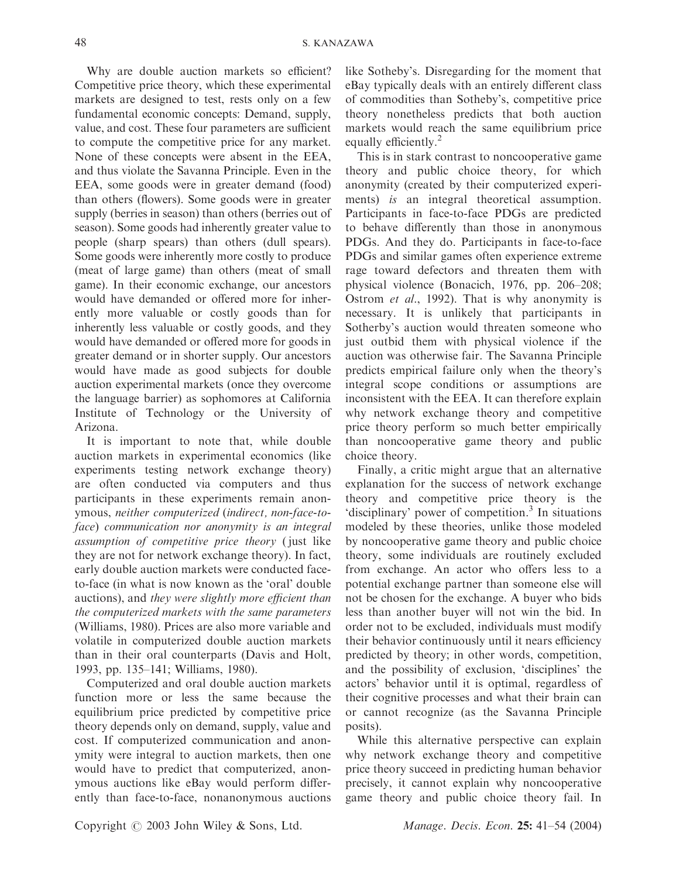Why are double auction markets so efficient? Competitive price theory, which these experimental markets are designed to test, rests only on a few fundamental economic concepts: Demand, supply, value, and cost. These four parameters are sufficient to compute the competitive price for any market. None of these concepts were absent in the EEA, and thus violate the Savanna Principle. Even in the EEA, some goods were in greater demand (food) than others (flowers). Some goods were in greater supply (berries in season) than others (berries out of season). Some goods had inherently greater value to people (sharp spears) than others (dull spears). Some goods were inherently more costly to produce (meat of large game) than others (meat of small game). In their economic exchange, our ancestors would have demanded or offered more for inherently more valuable or costly goods than for inherently less valuable or costly goods, and they would have demanded or offered more for goods in greater demand or in shorter supply. Our ancestors would have made as good subjects for double auction experimental markets (once they overcome the language barrier) as sophomores at California Institute of Technology or the University of Arizona.

It is important to note that, while double auction markets in experimental economics (like experiments testing network exchange theory) are often conducted via computers and thus participants in these experiments remain anonymous, neither computerized (indirect, non-face-toface) communication nor anonymity is an integral assumption of competitive price theory ( just like they are not for network exchange theory). In fact, early double auction markets were conducted faceto-face (in what is now known as the 'oral' double auctions), and they were slightly more efficient than the computerized markets with the same parameters (Williams, 1980). Prices are also more variable and volatile in computerized double auction markets than in their oral counterparts (Davis and Holt, 1993, pp. 135–141; Williams, 1980).

Computerized and oral double auction markets function more or less the same because the equilibrium price predicted by competitive price theory depends only on demand, supply, value and cost. If computerized communication and anonymity were integral to auction markets, then one would have to predict that computerized, anonymous auctions like eBay would perform differently than face-to-face, nonanonymous auctions like Sotheby's. Disregarding for the moment that eBay typically deals with an entirely different class of commodities than Sotheby's, competitive price theory nonetheless predicts that both auction markets would reach the same equilibrium price equally efficiently.<sup>2</sup>

This is in stark contrast to noncooperative game theory and public choice theory, for which anonymity (created by their computerized experiments) is an integral theoretical assumption. Participants in face-to-face PDGs are predicted to behave differently than those in anonymous PDGs. And they do. Participants in face-to-face PDGs and similar games often experience extreme rage toward defectors and threaten them with physical violence (Bonacich, 1976, pp. 206–208; Ostrom et al., 1992). That is why anonymity is necessary. It is unlikely that participants in Sotherby's auction would threaten someone who just outbid them with physical violence if the auction was otherwise fair. The Savanna Principle predicts empirical failure only when the theory's integral scope conditions or assumptions are inconsistent with the EEA. It can therefore explain why network exchange theory and competitive price theory perform so much better empirically than noncooperative game theory and public choice theory.

Finally, a critic might argue that an alternative explanation for the success of network exchange theory and competitive price theory is the 'disciplinary' power of competition.3 In situations modeled by these theories, unlike those modeled by noncooperative game theory and public choice theory, some individuals are routinely excluded from exchange. An actor who offers less to a potential exchange partner than someone else will not be chosen for the exchange. A buyer who bids less than another buyer will not win the bid. In order not to be excluded, individuals must modify their behavior continuously until it nears efficiency predicted by theory; in other words, competition, and the possibility of exclusion, 'disciplines' the actors' behavior until it is optimal, regardless of their cognitive processes and what their brain can or cannot recognize (as the Savanna Principle posits).

While this alternative perspective can explain why network exchange theory and competitive price theory succeed in predicting human behavior precisely, it cannot explain why noncooperative game theory and public choice theory fail. In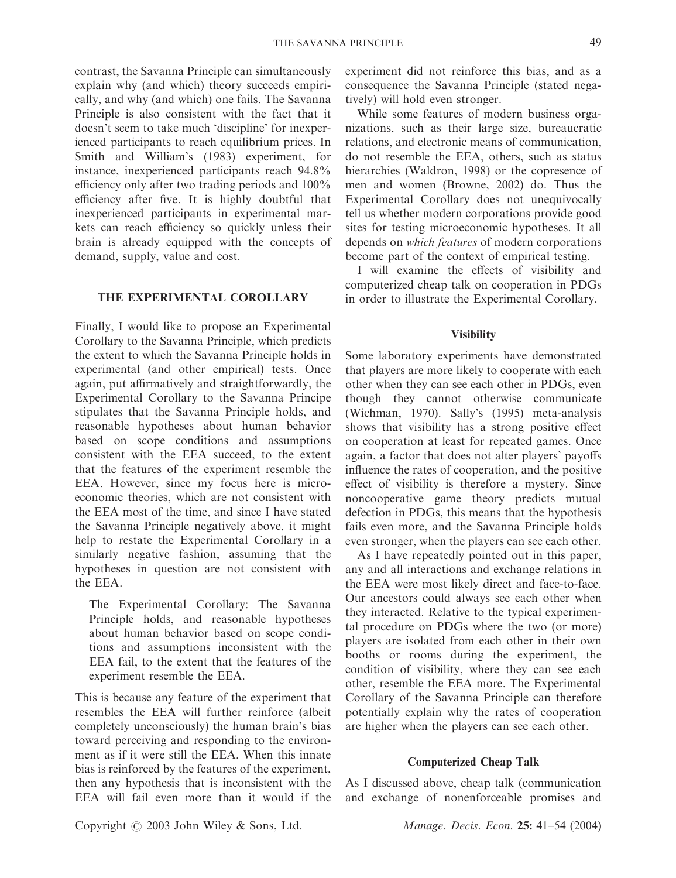contrast, the Savanna Principle can simultaneously explain why (and which) theory succeeds empirically, and why (and which) one fails. The Savanna Principle is also consistent with the fact that it doesn't seem to take much 'discipline' for inexperienced participants to reach equilibrium prices. In Smith and William's (1983) experiment, for instance, inexperienced participants reach 94.8% efficiency only after two trading periods and 100% efficiency after five. It is highly doubtful that inexperienced participants in experimental markets can reach efficiency so quickly unless their brain is already equipped with the concepts of demand, supply, value and cost.

### THE EXPERIMENTAL COROLLARY

Finally, I would like to propose an Experimental Corollary to the Savanna Principle, which predicts the extent to which the Savanna Principle holds in experimental (and other empirical) tests. Once again, put affirmatively and straightforwardly, the Experimental Corollary to the Savanna Principe stipulates that the Savanna Principle holds, and reasonable hypotheses about human behavior based on scope conditions and assumptions consistent with the EEA succeed, to the extent that the features of the experiment resemble the EEA. However, since my focus here is microeconomic theories, which are not consistent with the EEA most of the time, and since I have stated the Savanna Principle negatively above, it might help to restate the Experimental Corollary in a similarly negative fashion, assuming that the hypotheses in question are not consistent with the EEA.

The Experimental Corollary: The Savanna Principle holds, and reasonable hypotheses about human behavior based on scope conditions and assumptions inconsistent with the EEA fail, to the extent that the features of the experiment resemble the EEA.

This is because any feature of the experiment that resembles the EEA will further reinforce (albeit completely unconsciously) the human brain's bias toward perceiving and responding to the environment as if it were still the EEA. When this innate bias is reinforced by the features of the experiment, then any hypothesis that is inconsistent with the EEA will fail even more than it would if the

experiment did not reinforce this bias, and as a consequence the Savanna Principle (stated negatively) will hold even stronger.

While some features of modern business organizations, such as their large size, bureaucratic relations, and electronic means of communication, do not resemble the EEA, others, such as status hierarchies (Waldron, 1998) or the copresence of men and women (Browne, 2002) do. Thus the Experimental Corollary does not unequivocally tell us whether modern corporations provide good sites for testing microeconomic hypotheses. It all depends on which features of modern corporations become part of the context of empirical testing.

I will examine the effects of visibility and computerized cheap talk on cooperation in PDGs in order to illustrate the Experimental Corollary.

# **Visibility**

Some laboratory experiments have demonstrated that players are more likely to cooperate with each other when they can see each other in PDGs, even though they cannot otherwise communicate (Wichman, 1970). Sally's (1995) meta-analysis shows that visibility has a strong positive effect on cooperation at least for repeated games. Once again, a factor that does not alter players' payoffs influence the rates of cooperation, and the positive effect of visibility is therefore a mystery. Since noncooperative game theory predicts mutual defection in PDGs, this means that the hypothesis fails even more, and the Savanna Principle holds even stronger, when the players can see each other.

As I have repeatedly pointed out in this paper, any and all interactions and exchange relations in the EEA were most likely direct and face-to-face. Our ancestors could always see each other when they interacted. Relative to the typical experimental procedure on PDGs where the two (or more) players are isolated from each other in their own booths or rooms during the experiment, the condition of visibility, where they can see each other, resemble the EEA more. The Experimental Corollary of the Savanna Principle can therefore potentially explain why the rates of cooperation are higher when the players can see each other.

## Computerized Cheap Talk

As I discussed above, cheap talk (communication and exchange of nonenforceable promises and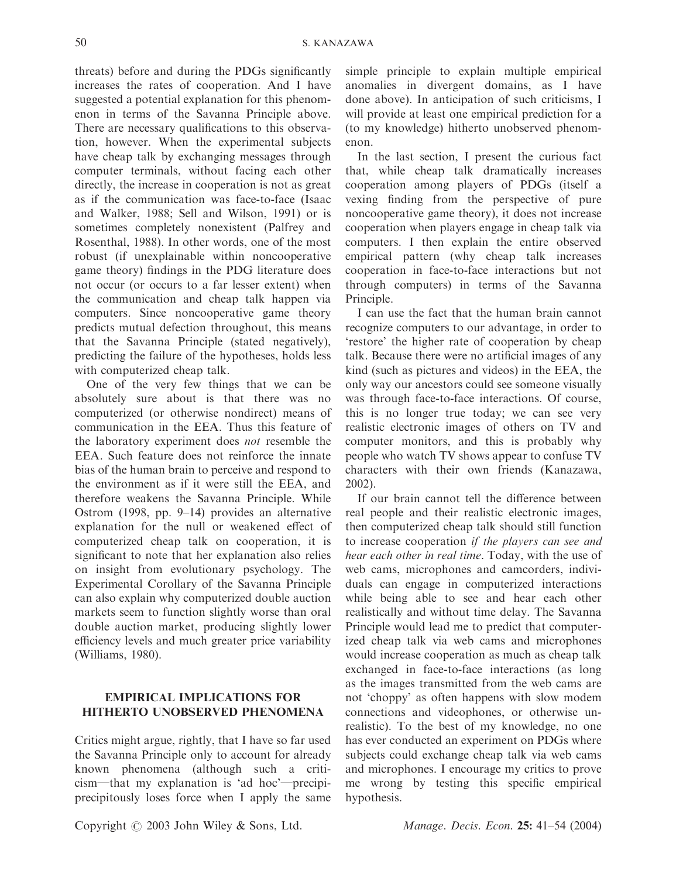threats) before and during the PDGs significantly increases the rates of cooperation. And I have suggested a potential explanation for this phenomenon in terms of the Savanna Principle above. There are necessary qualifications to this observation, however. When the experimental subjects have cheap talk by exchanging messages through computer terminals, without facing each other directly, the increase in cooperation is not as great as if the communication was face-to-face (Isaac and Walker, 1988; Sell and Wilson, 1991) or is sometimes completely nonexistent (Palfrey and Rosenthal, 1988). In other words, one of the most robust (if unexplainable within noncooperative game theory) findings in the PDG literature does not occur (or occurs to a far lesser extent) when the communication and cheap talk happen via computers. Since noncooperative game theory predicts mutual defection throughout, this means that the Savanna Principle (stated negatively), predicting the failure of the hypotheses, holds less with computerized cheap talk.

One of the very few things that we can be absolutely sure about is that there was no computerized (or otherwise nondirect) means of communication in the EEA. Thus this feature of the laboratory experiment does not resemble the EEA. Such feature does not reinforce the innate bias of the human brain to perceive and respond to the environment as if it were still the EEA, and therefore weakens the Savanna Principle. While Ostrom (1998, pp. 9–14) provides an alternative explanation for the null or weakened effect of computerized cheap talk on cooperation, it is significant to note that her explanation also relies on insight from evolutionary psychology. The Experimental Corollary of the Savanna Principle can also explain why computerized double auction markets seem to function slightly worse than oral double auction market, producing slightly lower efficiency levels and much greater price variability (Williams, 1980).

# EMPIRICAL IMPLICATIONS FOR HITHERTO UNOBSERVED PHENOMENA

Critics might argue, rightly, that I have so far used the Savanna Principle only to account for already known phenomena (although such a criti $cism$ —that my explanation is 'ad hoc'—precipiprecipitously loses force when I apply the same simple principle to explain multiple empirical anomalies in divergent domains, as I have done above). In anticipation of such criticisms, I will provide at least one empirical prediction for a (to my knowledge) hitherto unobserved phenomenon.

In the last section, I present the curious fact that, while cheap talk dramatically increases cooperation among players of PDGs (itself a vexing finding from the perspective of pure noncooperative game theory), it does not increase cooperation when players engage in cheap talk via computers. I then explain the entire observed empirical pattern (why cheap talk increases cooperation in face-to-face interactions but not through computers) in terms of the Savanna Principle.

I can use the fact that the human brain cannot recognize computers to our advantage, in order to 'restore' the higher rate of cooperation by cheap talk. Because there were no artificial images of any kind (such as pictures and videos) in the EEA, the only way our ancestors could see someone visually was through face-to-face interactions. Of course, this is no longer true today; we can see very realistic electronic images of others on TV and computer monitors, and this is probably why people who watch TV shows appear to confuse TV characters with their own friends (Kanazawa, 2002).

If our brain cannot tell the difference between real people and their realistic electronic images, then computerized cheap talk should still function to increase cooperation if the players can see and hear each other in real time. Today, with the use of web cams, microphones and camcorders, individuals can engage in computerized interactions while being able to see and hear each other realistically and without time delay. The Savanna Principle would lead me to predict that computerized cheap talk via web cams and microphones would increase cooperation as much as cheap talk exchanged in face-to-face interactions (as long as the images transmitted from the web cams are not 'choppy' as often happens with slow modem connections and videophones, or otherwise unrealistic). To the best of my knowledge, no one has ever conducted an experiment on PDGs where subjects could exchange cheap talk via web cams and microphones. I encourage my critics to prove me wrong by testing this specific empirical hypothesis.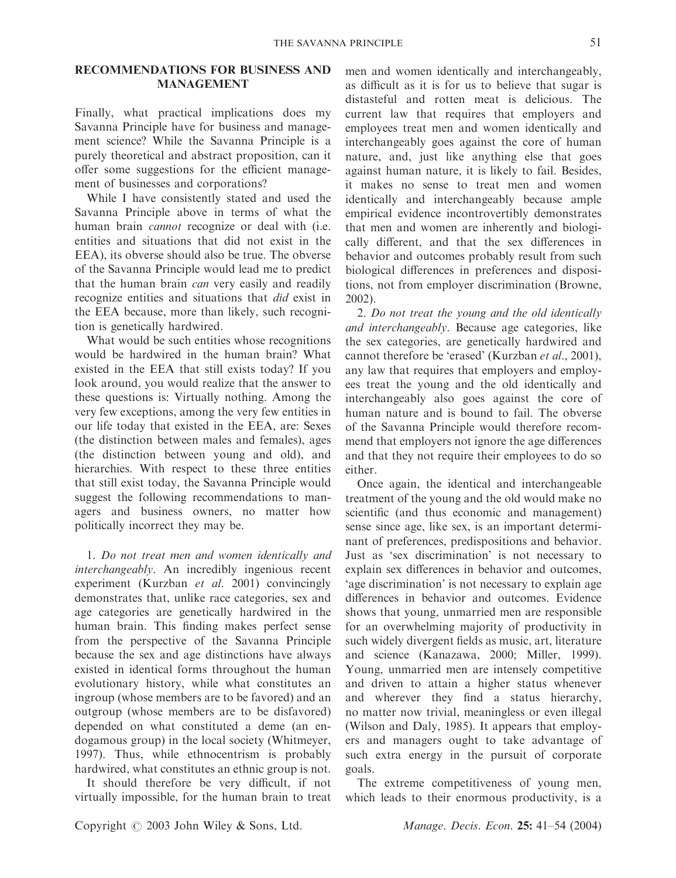# RECOMMENDATIONS FOR BUSINESS AND MANAGEMENT

Finally, what practical implications does my Savanna Principle have for business and management science? While the Savanna Principle is a purely theoretical and abstract proposition, can it offer some suggestions for the efficient management of businesses and corporations?

While I have consistently stated and used the Savanna Principle above in terms of what the human brain *cannot* recognize or deal with (i.e. entities and situations that did not exist in the EEA), its obverse should also be true. The obverse of the Savanna Principle would lead me to predict that the human brain can very easily and readily recognize entities and situations that did exist in the EEA because, more than likely, such recognition is genetically hardwired.

What would be such entities whose recognitions would be hardwired in the human brain? What existed in the EEA that still exists today? If you look around, you would realize that the answer to these questions is: Virtually nothing. Among the very few exceptions, among the very few entities in our life today that existed in the EEA, are: Sexes (the distinction between males and females), ages (the distinction between young and old), and hierarchies. With respect to these three entities that still exist today, the Savanna Principle would suggest the following recommendations to managers and business owners, no matter how politically incorrect they may be.

1. Do not treat men and women identically and interchangeably. An incredibly ingenious recent experiment (Kurzban et al. 2001) convincingly demonstrates that, unlike race categories, sex and age categories are genetically hardwired in the human brain. This finding makes perfect sense from the perspective of the Savanna Principle because the sex and age distinctions have always existed in identical forms throughout the human evolutionary history, while what constitutes an ingroup (whose members are to be favored) and an outgroup (whose members are to be disfavored) depended on what constituted a deme (an endogamous group) in the local society (Whitmeyer, 1997). Thus, while ethnocentrism is probably hardwired, what constitutes an ethnic group is not.

It should therefore be very difficult, if not virtually impossible, for the human brain to treat men and women identically and interchangeably, as difficult as it is for us to believe that sugar is distasteful and rotten meat is delicious. The current law that requires that employers and employees treat men and women identically and interchangeably goes against the core of human nature, and, just like anything else that goes against human nature, it is likely to fail. Besides, it makes no sense to treat men and women identically and interchangeably because ample empirical evidence incontrovertibly demonstrates that men and women are inherently and biologically different, and that the sex differences in behavior and outcomes probably result from such biological differences in preferences and dispositions, not from employer discrimination (Browne, 2002).

2. Do not treat the young and the old identically and interchangeably. Because age categories, like the sex categories, are genetically hardwired and cannot therefore be 'erased' (Kurzban et al., 2001), any law that requires that employers and employees treat the young and the old identically and interchangeably also goes against the core of human nature and is bound to fail. The obverse of the Savanna Principle would therefore recommend that employers not ignore the age differences and that they not require their employees to do so either.

Once again, the identical and interchangeable treatment of the young and the old would make no scientific (and thus economic and management) sense since age, like sex, is an important determinant of preferences, predispositions and behavior. Just as 'sex discrimination' is not necessary to explain sex differences in behavior and outcomes, 'age discrimination' is not necessary to explain age differences in behavior and outcomes. Evidence shows that young, unmarried men are responsible for an overwhelming majority of productivity in such widely divergent fields as music, art, literature and science (Kanazawa, 2000; Miller, 1999). Young, unmarried men are intensely competitive and driven to attain a higher status whenever and wherever they find a status hierarchy, no matter now trivial, meaningless or even illegal (Wilson and Daly, 1985). It appears that employers and managers ought to take advantage of such extra energy in the pursuit of corporate goals.

The extreme competitiveness of young men, which leads to their enormous productivity, is a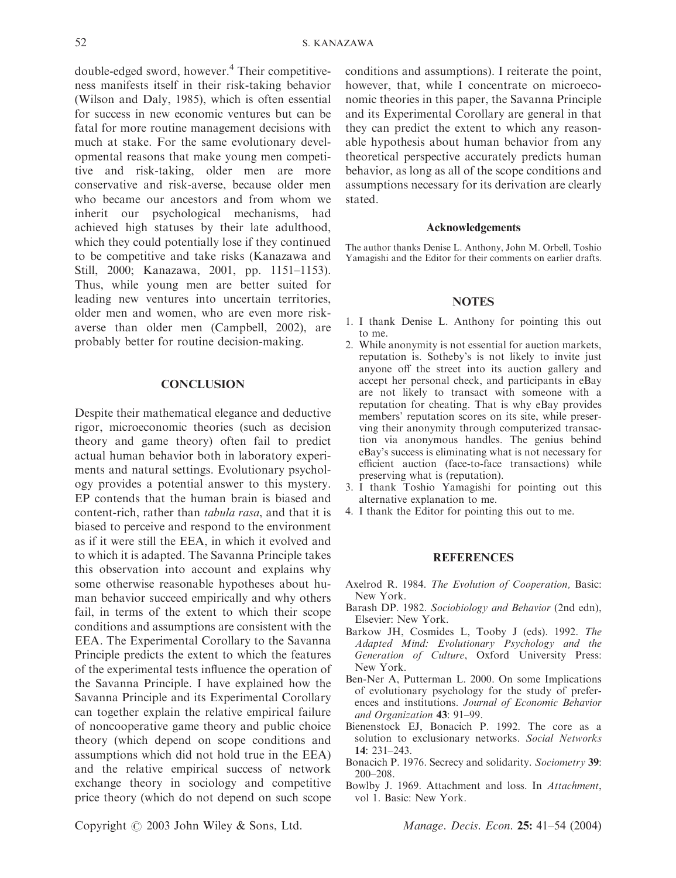double-edged sword, however.4 Their competitiveness manifests itself in their risk-taking behavior (Wilson and Daly, 1985), which is often essential for success in new economic ventures but can be fatal for more routine management decisions with much at stake. For the same evolutionary developmental reasons that make young men competitive and risk-taking, older men are more conservative and risk-averse, because older men who became our ancestors and from whom we inherit our psychological mechanisms, had achieved high statuses by their late adulthood, which they could potentially lose if they continued to be competitive and take risks (Kanazawa and Still, 2000; Kanazawa, 2001, pp. 1151–1153). Thus, while young men are better suited for leading new ventures into uncertain territories, older men and women, who are even more riskaverse than older men (Campbell, 2002), are probably better for routine decision-making.

#### **CONCLUSION**

Despite their mathematical elegance and deductive rigor, microeconomic theories (such as decision theory and game theory) often fail to predict actual human behavior both in laboratory experiments and natural settings. Evolutionary psychology provides a potential answer to this mystery. EP contends that the human brain is biased and content-rich, rather than tabula rasa, and that it is biased to perceive and respond to the environment as if it were still the EEA, in which it evolved and to which it is adapted. The Savanna Principle takes this observation into account and explains why some otherwise reasonable hypotheses about human behavior succeed empirically and why others fail, in terms of the extent to which their scope conditions and assumptions are consistent with the EEA. The Experimental Corollary to the Savanna Principle predicts the extent to which the features of the experimental tests influence the operation of the Savanna Principle. I have explained how the Savanna Principle and its Experimental Corollary can together explain the relative empirical failure of noncooperative game theory and public choice theory (which depend on scope conditions and assumptions which did not hold true in the EEA) and the relative empirical success of network exchange theory in sociology and competitive price theory (which do not depend on such scope conditions and assumptions). I reiterate the point, however, that, while I concentrate on microeconomic theories in this paper, the Savanna Principle and its Experimental Corollary are general in that they can predict the extent to which any reasonable hypothesis about human behavior from any theoretical perspective accurately predicts human behavior, as long as all of the scope conditions and assumptions necessary for its derivation are clearly stated.

#### Acknowledgements

The author thanks Denise L. Anthony, John M. Orbell, Toshio Yamagishi and the Editor for their comments on earlier drafts.

#### **NOTES**

- 1. I thank Denise L. Anthony for pointing this out to me.
- 2. While anonymity is not essential for auction markets, reputation is. Sotheby's is not likely to invite just anyone off the street into its auction gallery and accept her personal check, and participants in eBay are not likely to transact with someone with a reputation for cheating. That is why eBay provides members' reputation scores on its site, while preserving their anonymity through computerized transaction via anonymous handles. The genius behind eBay's success is eliminating what is not necessary for efficient auction (face-to-face transactions) while preserving what is (reputation).
- 3. I thank Toshio Yamagishi for pointing out this alternative explanation to me.
- 4. I thank the Editor for pointing this out to me.

#### REFERENCES

- Axelrod R. 1984. The Evolution of Cooperation, Basic: New York.
- Barash DP. 1982. Sociobiology and Behavior (2nd edn), Elsevier: New York.
- Barkow JH, Cosmides L, Tooby J (eds). 1992. The Adapted Mind: Evolutionary Psychology and the Generation of Culture, Oxford University Press: New York.
- Ben-Ner A, Putterman L. 2000. On some Implications of evolutionary psychology for the study of preferences and institutions. Journal of Economic Behavior and Organization 43: 91–99.
- Bienenstock EJ, Bonacich P. 1992. The core as a solution to exclusionary networks. Social Networks 14: 231–243.
- Bonacich P. 1976. Secrecy and solidarity. Sociometry 39: 200–208.
- Bowlby J. 1969. Attachment and loss. In Attachment, vol 1. Basic: New York.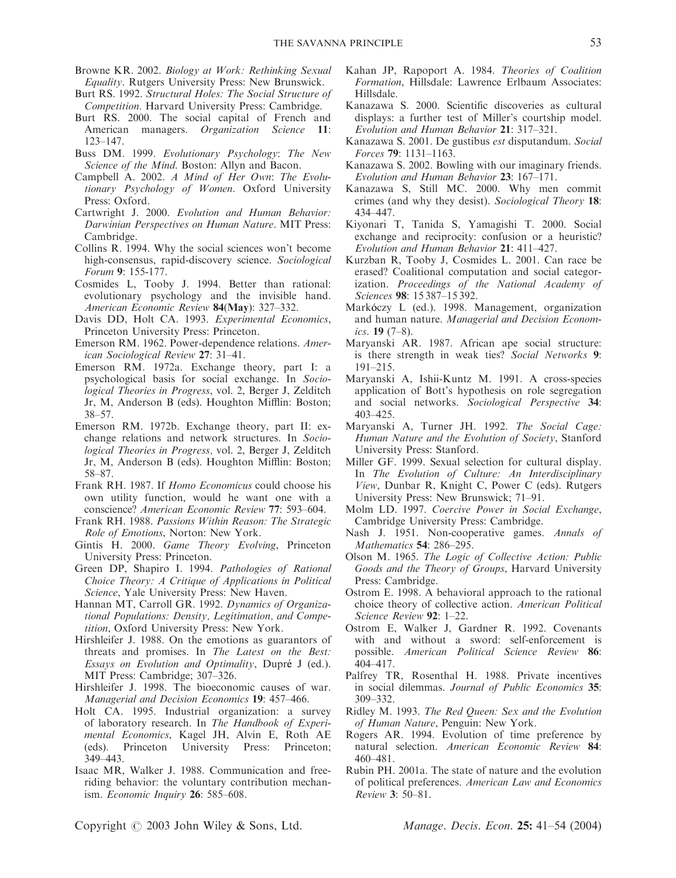- Browne KR. 2002. Biology at Work: Rethinking Sexual Equality. Rutgers University Press: New Brunswick.
- Burt RS. 1992. Structural Holes: The Social Structure of Competition. Harvard University Press: Cambridge.
- Burt RS. 2000. The social capital of French and American managers. Organization Science 11: 123–147.
- Buss DM. 1999. Evolutionary Psychology: The New Science of the Mind. Boston: Allyn and Bacon.
- Campbell A. 2002. A Mind of Her Own: The Evolutionary Psychology of Women. Oxford University Press: Oxford.
- Cartwright J. 2000. Evolution and Human Behavior: Darwinian Perspectives on Human Nature. MIT Press: Cambridge.
- Collins R. 1994. Why the social sciences won't become high-consensus, rapid-discovery science. Sociological Forum 9: 155-177.
- Cosmides L, Tooby J. 1994. Better than rational: evolutionary psychology and the invisible hand. American Economic Review 84(May): 327–332.
- Davis DD, Holt CA. 1993. Experimental Economics, Princeton University Press: Princeton.
- Emerson RM. 1962. Power-dependence relations. American Sociological Review 27: 31–41.
- Emerson RM. 1972a. Exchange theory, part I: a psychological basis for social exchange. In Sociological Theories in Progress, vol. 2, Berger J, Zelditch Jr, M, Anderson B (eds). Houghton Mifflin: Boston; 38–57.
- Emerson RM. 1972b. Exchange theory, part II: exchange relations and network structures. In Sociological Theories in Progress, vol. 2, Berger J, Zelditch Jr, M, Anderson B (eds). Houghton Mifflin: Boston; 58–87.
- Frank RH. 1987. If Homo Economicus could choose his own utility function, would he want one with a conscience? American Economic Review 77: 593–604.
- Frank RH. 1988. Passions Within Reason: The Strategic Role of Emotions, Norton: New York.
- Gintis H. 2000. Game Theory Evolving, Princeton University Press: Princeton.
- Green DP, Shapiro I. 1994. Pathologies of Rational Choice Theory: A Critique of Applications in Political Science, Yale University Press: New Haven.
- Hannan MT, Carroll GR. 1992. Dynamics of Organizational Populations: Density, Legitimation, and Competition, Oxford University Press: New York.
- Hirshleifer J. 1988. On the emotions as guarantors of threats and promises. In The Latest on the Best: Essays on Evolution and Optimality, Dupré J (ed.). MIT Press: Cambridge; 307–326.
- Hirshleifer J. 1998. The bioeconomic causes of war. Managerial and Decision Economics 19: 457–466.
- Holt CA. 1995. Industrial organization: a survey of laboratory research. In The Handbook of Experimental Economics, Kagel JH, Alvin E, Roth AE (eds). Princeton University Press: Princeton; 349–443.
- Isaac MR, Walker J. 1988. Communication and freeriding behavior: the voluntary contribution mechanism. Economic Inquiry 26: 585–608.
- Kahan JP, Rapoport A. 1984. Theories of Coalition Formation, Hillsdale: Lawrence Erlbaum Associates: Hillsdale.
- Kanazawa S. 2000. Scientific discoveries as cultural displays: a further test of Miller's courtship model. Evolution and Human Behavior 21: 317–321.
- Kanazawa S. 2001. De gustibus est disputandum. Social Forces 79: 1131–1163.
- Kanazawa S. 2002. Bowling with our imaginary friends. Evolution and Human Behavior 23: 167–171.
- Kanazawa S, Still MC. 2000. Why men commit crimes (and why they desist). Sociological Theory 18: 434–447.
- Kiyonari T, Tanida S, Yamagishi T. 2000. Social exchange and reciprocity: confusion or a heuristic? Evolution and Human Behavior 21: 411–427.
- Kurzban R, Tooby J, Cosmides L. 2001. Can race be erased? Coalitional computation and social categorization. Proceedings of the National Academy of Sciences 98: 15 387–15 392.
- Markóczy L (ed.). 1998. Management, organization and human nature. Managerial and Decision Economics. 19 (7–8).
- Maryanski AR. 1987. African ape social structure: is there strength in weak ties? Social Networks 9: 191–215.
- Maryanski A, Ishii-Kuntz M. 1991. A cross-species application of Bott's hypothesis on role segregation and social networks. Sociological Perspective 34: 403–425.
- Maryanski A, Turner JH. 1992. The Social Cage: Human Nature and the Evolution of Society, Stanford University Press: Stanford.
- Miller GF. 1999. Sexual selection for cultural display. In The Evolution of Culture: An Interdisciplinary View, Dunbar R, Knight C, Power C (eds). Rutgers University Press: New Brunswick; 71–91.
- Molm LD. 1997. Coercive Power in Social Exchange, Cambridge University Press: Cambridge.
- Nash J. 1951. Non-cooperative games. Annals of Mathematics 54: 286–295.
- Olson M. 1965. The Logic of Collective Action: Public Goods and the Theory of Groups, Harvard University Press: Cambridge.
- Ostrom E. 1998. A behavioral approach to the rational choice theory of collective action. American Political Science Review 92: 1–22.
- Ostrom E, Walker J, Gardner R. 1992. Covenants with and without a sword: self-enforcement is possible. American Political Science Review 86: 404–417.
- Palfrey TR, Rosenthal H. 1988. Private incentives in social dilemmas. Journal of Public Economics 35: 309–332.
- Ridley M. 1993. The Red Queen: Sex and the Evolution of Human Nature, Penguin: New York.
- Rogers AR. 1994. Evolution of time preference by natural selection. American Economic Review 84: 460–481.
- Rubin PH. 2001a. The state of nature and the evolution of political preferences. American Law and Economics Review 3: 50–81.